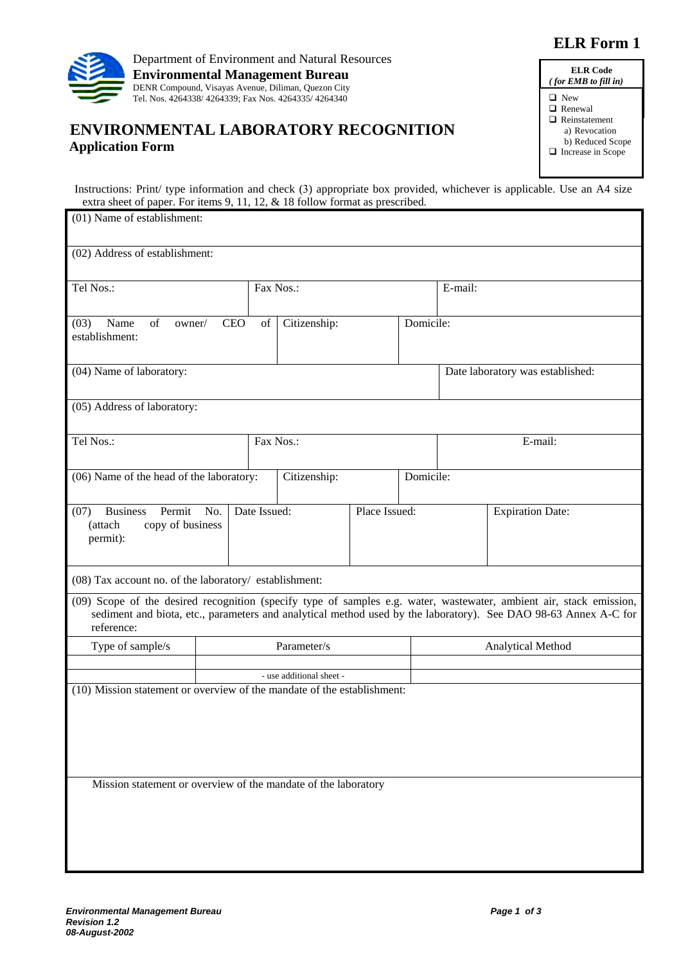## **ELR Form 1**



## **ENVIRONMENTAL LABORATORY RECOGNITION Application Form**

| <b>ELR</b> Code<br>$($ for EMB to fill in |
|-------------------------------------------|
| □ New                                     |
| $\Box$ Renewal<br>$\Box$ Reinstatement    |
| a) Revocation<br>b) Reduced Scope         |
| $\Box$ Increase in Scope                  |

Instructions: Print/ type information and check (3) appropriate box provided, whichever is applicable. Use an A4 size extra sheet of paper. For items 9, 11, 12, & 18 follow format as prescribed.

| (01) Name of establishment:                                                                                                                                                                                                                          |                          |              |              |               |                   |                                  |  |  |
|------------------------------------------------------------------------------------------------------------------------------------------------------------------------------------------------------------------------------------------------------|--------------------------|--------------|--------------|---------------|-------------------|----------------------------------|--|--|
| (02) Address of establishment:                                                                                                                                                                                                                       |                          |              |              |               |                   |                                  |  |  |
| Tel Nos.:                                                                                                                                                                                                                                            | Fax Nos.:                |              |              |               | E-mail:           |                                  |  |  |
| Name<br><b>CEO</b><br>$\sigma$ f<br>Citizenship:<br>(03)<br>owner/<br>of<br>establishment:                                                                                                                                                           |                          |              |              |               |                   | Domicile:                        |  |  |
| (04) Name of laboratory:                                                                                                                                                                                                                             |                          |              |              |               |                   | Date laboratory was established: |  |  |
| (05) Address of laboratory:                                                                                                                                                                                                                          |                          |              |              |               |                   |                                  |  |  |
| Tel Nos.:                                                                                                                                                                                                                                            |                          | Fax Nos.:    |              |               |                   | E-mail:                          |  |  |
| (06) Name of the head of the laboratory:                                                                                                                                                                                                             |                          |              | Citizenship: |               |                   | Domicile:                        |  |  |
| <b>Business</b><br>Permit<br>(07)<br>No.<br>(attach<br>copy of business<br>permit):                                                                                                                                                                  |                          | Date Issued: |              | Place Issued: |                   | <b>Expiration Date:</b>          |  |  |
| (08) Tax account no. of the laboratory/ establishment:                                                                                                                                                                                               |                          |              |              |               |                   |                                  |  |  |
| (09) Scope of the desired recognition (specify type of samples e.g. water, wastewater, ambient air, stack emission,<br>sediment and biota, etc., parameters and analytical method used by the laboratory). See DAO 98-63 Annex A-C for<br>reference: |                          |              |              |               |                   |                                  |  |  |
| Type of sample/s                                                                                                                                                                                                                                     | Parameter/s              |              |              |               | Analytical Method |                                  |  |  |
|                                                                                                                                                                                                                                                      | - use additional sheet - |              |              |               |                   |                                  |  |  |
| (10) Mission statement or overview of the mandate of the establishment:<br>Mission statement or overview of the mandate of the laboratory                                                                                                            |                          |              |              |               |                   |                                  |  |  |
|                                                                                                                                                                                                                                                      |                          |              |              |               |                   |                                  |  |  |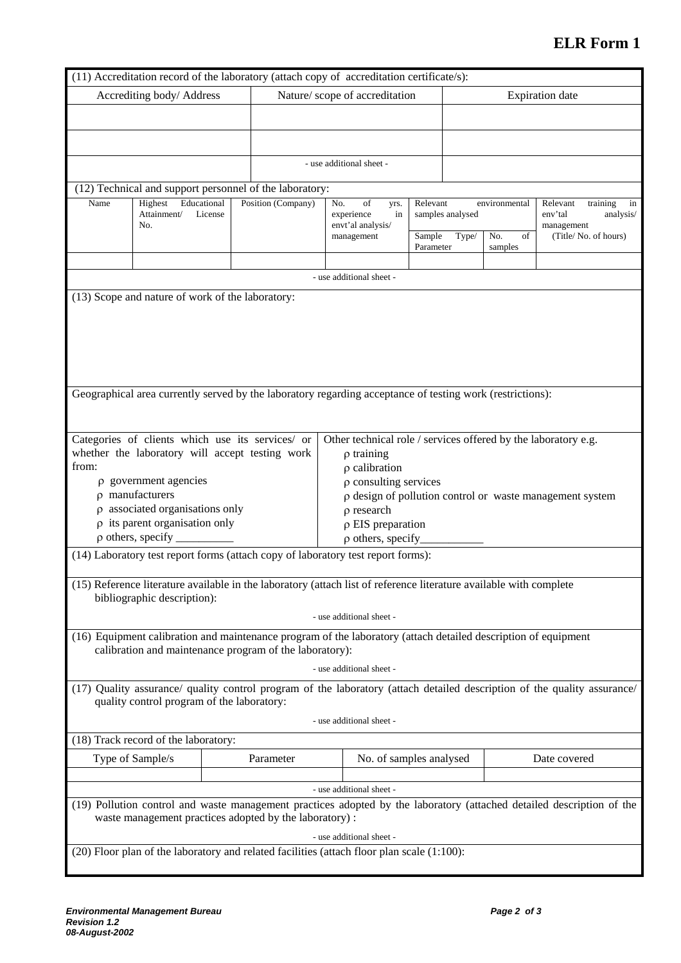## **ELR Form 1**

|                                                                                                                       |                                                         |  |           | (11) Accreditation record of the laboratory (attach copy of accreditation certificate/s):                 |                           |                        |              |                                                                                                                          |  |
|-----------------------------------------------------------------------------------------------------------------------|---------------------------------------------------------|--|-----------|-----------------------------------------------------------------------------------------------------------|---------------------------|------------------------|--------------|--------------------------------------------------------------------------------------------------------------------------|--|
| Accrediting body/Address                                                                                              |                                                         |  |           | Nature/scope of accreditation                                                                             |                           | <b>Expiration</b> date |              |                                                                                                                          |  |
|                                                                                                                       |                                                         |  |           |                                                                                                           |                           |                        |              |                                                                                                                          |  |
|                                                                                                                       |                                                         |  |           |                                                                                                           |                           |                        |              |                                                                                                                          |  |
|                                                                                                                       |                                                         |  |           |                                                                                                           |                           |                        |              |                                                                                                                          |  |
|                                                                                                                       |                                                         |  |           | - use additional sheet -                                                                                  |                           |                        |              |                                                                                                                          |  |
|                                                                                                                       |                                                         |  |           |                                                                                                           |                           |                        |              |                                                                                                                          |  |
|                                                                                                                       | (12) Technical and support personnel of the laboratory: |  |           |                                                                                                           |                           |                        |              |                                                                                                                          |  |
| Name                                                                                                                  | Educational<br>Highest<br>Position (Company)<br>License |  |           | No.<br>of<br>yrs.                                                                                         | Relevant<br>environmental |                        |              | Relevant<br>training<br>in                                                                                               |  |
|                                                                                                                       | Attainment/<br>No.                                      |  |           | experience<br>in<br>envt'al analysis/                                                                     | samples analysed          |                        |              | env'tal<br>analysis/<br>management                                                                                       |  |
|                                                                                                                       |                                                         |  |           | management                                                                                                | Sample                    | Type/                  | No.<br>of    | (Title/No. of hours)                                                                                                     |  |
|                                                                                                                       |                                                         |  |           |                                                                                                           | Parameter                 | samples                |              |                                                                                                                          |  |
|                                                                                                                       |                                                         |  |           | - use additional sheet -                                                                                  |                           |                        |              |                                                                                                                          |  |
|                                                                                                                       |                                                         |  |           |                                                                                                           |                           |                        |              |                                                                                                                          |  |
|                                                                                                                       | (13) Scope and nature of work of the laboratory:        |  |           |                                                                                                           |                           |                        |              |                                                                                                                          |  |
|                                                                                                                       |                                                         |  |           |                                                                                                           |                           |                        |              |                                                                                                                          |  |
|                                                                                                                       |                                                         |  |           |                                                                                                           |                           |                        |              |                                                                                                                          |  |
|                                                                                                                       |                                                         |  |           |                                                                                                           |                           |                        |              |                                                                                                                          |  |
|                                                                                                                       |                                                         |  |           |                                                                                                           |                           |                        |              |                                                                                                                          |  |
|                                                                                                                       |                                                         |  |           |                                                                                                           |                           |                        |              |                                                                                                                          |  |
|                                                                                                                       |                                                         |  |           | Geographical area currently served by the laboratory regarding acceptance of testing work (restrictions): |                           |                        |              |                                                                                                                          |  |
|                                                                                                                       |                                                         |  |           |                                                                                                           |                           |                        |              |                                                                                                                          |  |
|                                                                                                                       |                                                         |  |           |                                                                                                           |                           |                        |              |                                                                                                                          |  |
|                                                                                                                       | Categories of clients which use its services/ or        |  |           | Other technical role / services offered by the laboratory e.g.                                            |                           |                        |              |                                                                                                                          |  |
|                                                                                                                       | whether the laboratory will accept testing work         |  |           | $\rho$ training                                                                                           |                           |                        |              |                                                                                                                          |  |
| from:                                                                                                                 |                                                         |  |           | $\rho$ calibration                                                                                        |                           |                        |              |                                                                                                                          |  |
|                                                                                                                       | $\rho$ government agencies                              |  |           | $\rho$ consulting services                                                                                |                           |                        |              |                                                                                                                          |  |
|                                                                                                                       | $\rho$ manufacturers                                    |  |           | p design of pollution control or waste management system                                                  |                           |                        |              |                                                                                                                          |  |
|                                                                                                                       | $\rho$ associated organisations only                    |  |           | $\rho$ research                                                                                           |                           |                        |              |                                                                                                                          |  |
|                                                                                                                       | $\rho$ its parent organisation only                     |  |           | $\rho$ EIS preparation                                                                                    |                           |                        |              |                                                                                                                          |  |
|                                                                                                                       | $\rho$ others, specify $\overline{\phantom{a}}$         |  |           | $\rho$ others, specify                                                                                    |                           |                        |              |                                                                                                                          |  |
| (14) Laboratory test report forms (attach copy of laboratory test report forms):                                      |                                                         |  |           |                                                                                                           |                           |                        |              |                                                                                                                          |  |
|                                                                                                                       |                                                         |  |           |                                                                                                           |                           |                        |              |                                                                                                                          |  |
| (15) Reference literature available in the laboratory (attach list of reference literature available with complete    |                                                         |  |           |                                                                                                           |                           |                        |              |                                                                                                                          |  |
| bibliographic description):                                                                                           |                                                         |  |           |                                                                                                           |                           |                        |              |                                                                                                                          |  |
| - use additional sheet -                                                                                              |                                                         |  |           |                                                                                                           |                           |                        |              |                                                                                                                          |  |
|                                                                                                                       |                                                         |  |           |                                                                                                           |                           |                        |              |                                                                                                                          |  |
| (16) Equipment calibration and maintenance program of the laboratory (attach detailed description of equipment        |                                                         |  |           |                                                                                                           |                           |                        |              |                                                                                                                          |  |
|                                                                                                                       | calibration and maintenance program of the laboratory): |  |           |                                                                                                           |                           |                        |              |                                                                                                                          |  |
| - use additional sheet -                                                                                              |                                                         |  |           |                                                                                                           |                           |                        |              |                                                                                                                          |  |
|                                                                                                                       | quality control program of the laboratory:              |  |           |                                                                                                           |                           |                        |              | (17) Quality assurance/ quality control program of the laboratory (attach detailed description of the quality assurance/ |  |
| - use additional sheet -                                                                                              |                                                         |  |           |                                                                                                           |                           |                        |              |                                                                                                                          |  |
| (18) Track record of the laboratory:                                                                                  |                                                         |  |           |                                                                                                           |                           |                        |              |                                                                                                                          |  |
|                                                                                                                       |                                                         |  |           |                                                                                                           |                           |                        |              |                                                                                                                          |  |
|                                                                                                                       | Type of Sample/s                                        |  | Parameter | No. of samples analysed                                                                                   |                           |                        | Date covered |                                                                                                                          |  |
|                                                                                                                       |                                                         |  |           |                                                                                                           |                           |                        |              |                                                                                                                          |  |
|                                                                                                                       |                                                         |  |           | - use additional sheet -                                                                                  |                           |                        |              |                                                                                                                          |  |
| (19) Pollution control and waste management practices adopted by the laboratory (attached detailed description of the |                                                         |  |           |                                                                                                           |                           |                        |              |                                                                                                                          |  |
| waste management practices adopted by the laboratory):                                                                |                                                         |  |           |                                                                                                           |                           |                        |              |                                                                                                                          |  |
|                                                                                                                       |                                                         |  |           | - use additional sheet -                                                                                  |                           |                        |              |                                                                                                                          |  |
|                                                                                                                       |                                                         |  |           | (20) Floor plan of the laboratory and related facilities (attach floor plan scale (1:100):                |                           |                        |              |                                                                                                                          |  |
|                                                                                                                       |                                                         |  |           |                                                                                                           |                           |                        |              |                                                                                                                          |  |